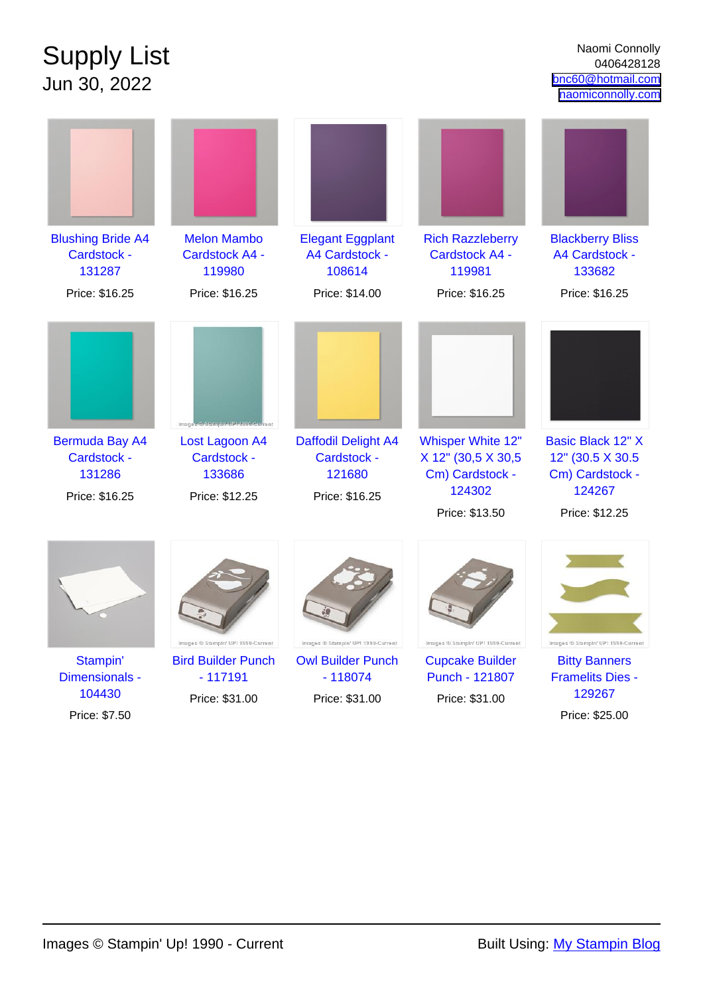## Supply List Jun 30, 2022

| <b>Blushing Bride A4</b><br>Cardstock -<br>131287                | <b>Melon Mambo</b><br><b>Cardstock A4 -</b><br>119980                                          | <b>Elegant Eggplant</b><br>A4 Cardstock -<br>108614            | <b>Rich Razzleberry</b><br><b>Cardstock A4 -</b><br>119981                                    | <b>Blackberry Bliss</b><br>A4 Cardstock -<br>133682                                          |
|------------------------------------------------------------------|------------------------------------------------------------------------------------------------|----------------------------------------------------------------|-----------------------------------------------------------------------------------------------|----------------------------------------------------------------------------------------------|
| Price: \$16.25                                                   | Price: \$16.25                                                                                 | Price: \$14.00                                                 | Price: \$16.25                                                                                | Price: \$16.25                                                                               |
| <b>Bermuda Bay A4</b><br>Cardstock -<br>131286<br>Price: \$16.25 | Images © Stampin UPI 1990-Current<br>Lost Lagoon A4<br>Cardstock -<br>133686<br>Price: \$12.25 | Daffodil Delight A4<br>Cardstock -<br>121680<br>Price: \$16.25 | <b>Whisper White 12"</b><br>X 12" (30,5 X 30,5<br>Cm) Cardstock -<br>124302<br>Price: \$13.50 | <b>Basic Black 12" X</b><br>12" (30.5 X 30.5)<br>Cm) Cardstock -<br>124267<br>Price: \$12.25 |
|                                                                  | Images ® Stampin' UP! 1990-Current                                                             | Images ® Stampin' UP! 1990-Current                             | Images ® Stampin' UP! 1990-Current                                                            | Images ® Stampin' UP! 1990-Current                                                           |
| Stampin'                                                         | <b>Bird Builder Punch</b>                                                                      | <b>Owl Builder Punch</b>                                       | <b>Cupcake Builder</b>                                                                        | <b>Bitty Banners</b>                                                                         |
| Dimensionals -<br>104430                                         | $-117191$<br>Price: \$31.00                                                                    | $-118074$<br>Price: \$31.00                                    | Punch - 121807<br>Price: \$31.00                                                              | <b>Framelits Dies -</b><br>129267                                                            |
| Price: \$7.50                                                    |                                                                                                |                                                                |                                                                                               | Price: \$25.00                                                                               |